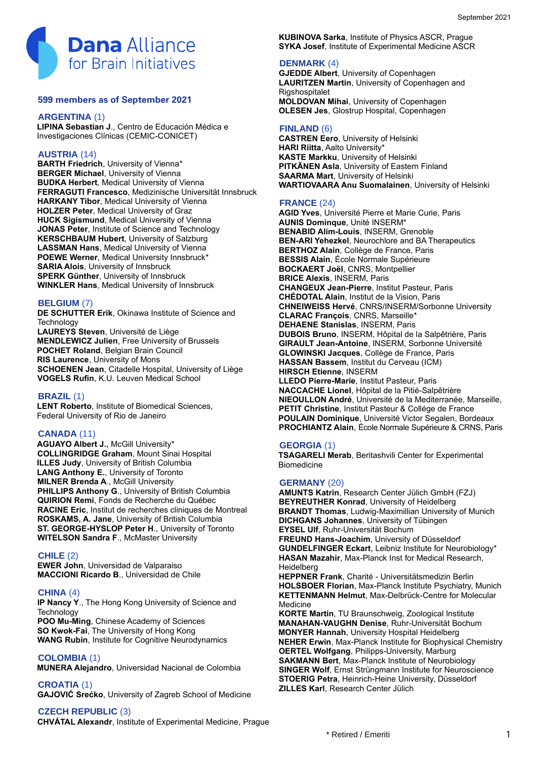

# **599 members as of September 2021**

# **ARGENTINA** (1)

**LIPINA Sebastian J**., Centro de Educación Médica e Investigaciones Clínicas (CEMIC-CONICET)

# **AUSTRIA** (14)

**BARTH Friedrich**, University of Vienna\* **BERGER Michael, University of Vienna BUDKA Herbert**, Medical University of Vienna **FERRAGUTI Francesco**, Medizinische Universität Innsbruck **HARKANY Tibor**, Medical University of Vienna **HOLZER Peter**, Medical University of Graz **HUCK Sigismund**, Medical University of Vienna **JONAS Peter**, Institute of Science and Technology **KERSCHBAUM Hubert**, University of Salzburg **LASSMAN Hans**, Medical University of Vienna **POEWE Werner**, Medical University Innsbruck\* **SARIA Alois**, University of Innsbruck **SPERK Günther**, University of Innsbruck **WINKLER Hans**, Medical University of Innsbruck

# **BELGIUM** (7)

**DE SCHUTTER Erik**, Okinawa Institute of Science and **Technology LAUREYS Steven**, Université de Liège **MENDLEWICZ Julien**, Free University of Brussels **POCHET Roland**, Belgian Brain Council **RIS Laurence**, University of Mons **SCHOENEN Jean**, Citadelle Hospital, University of Liège **VOGELS Rufin**, K.U. Leuven Medical School

# **BRAZIL** (1)

**LENT Roberto**, Institute of Biomedical Sciences, Federal University of Rio de Janeiro

# **CANADA** (11)

**AGUAYO Albert J.**, McGill University\* **COLLINGRIDGE Graham**, Mount Sinai Hospital **ILLES Judy**, University of British Columbia **LANG Anthony E.**, University of Toronto **MILNER Brenda A., McGill University PHILLIPS Anthony G**., University of British Columbia **QUIRION Remi**, Fonds de Recherche du Québec **RACINE Eric**, Institut de recherches cliniques de Montreal **ROSKAMS, A. Jane**, University of British Columbia **ST. GEORGE-HYSLOP Peter H**., University of Toronto **WITELSON Sandra F**., McMaster University

# **CHILE** (2)

**EWER John**, Universidad de Valparaiso **MACCIONI Ricardo B**., Universidad de Chile

# **CHINA** (4)

**IP Nancy Y**., The Hong Kong University of Science and **Technology POO Mu-Ming**, Chinese Academy of Sciences **SO Kwok-Fai**, The University of Hong Kong **WANG Rubin**, Institute for Cognitive Neurodynamics

# **COLOMBIA** (1)

**MUNERA Alejandro**, Universidad Nacional de Colombia

**CROATIA** (1)

**GAJOVIĆ Srećko**, University of Zagreb School of Medicine

# **CZECH REPUBLIC** (3)

**CHVÁTAL Alexandr**, Institute of Experimental Medicine, Prague

**KUBINOVA Sarka**, Institute of Physics ASCR, Prague **SYKA Josef**, Institute of Experimental Medicine ASCR

# **DENMARK** (4)

**GJEDDE Albert**, University of Copenhagen **LAURITZEN Martin**, University of Copenhagen and Rigshospitalet **MOLDOVAN Mihai**, University of Copenhagen **OLESEN Jes**, Glostrup Hospital, Copenhagen

# **FINLAND** (6)

**CASTREN Eero**, University of Helsinki **HARI Riitta**, Aalto University\* **KASTE Markku**, University of Helsinki **PITKÄNEN Asla**, University of Eastern Finland **SAARMA Mart**, University of Helsinki **WARTIOVAARA Anu Suomalainen**, University of Helsinki

# **FRANCE** (24)

**AGID Yves**, Université Pierre et Marie Curie, Paris **AUNIS Dominque**, Unité INSERM\* **BENABID Alim-Louis**, INSERM, Grenoble **BEN-ARI Yehezkel**, Neurochlore and BA Therapeutics **BERTHOZ Alain**, Collège de France, Paris **BESSIS Alain**, École Normale Supérieure **BOCKAERT Joël**, CNRS, Montpellier **BRICE Alexis**, INSERM, Paris **CHANGEUX Jean-Pierre**, Institut Pasteur, Paris **CHÉDOTAL Alain**, Institut de la Vision, Paris **CHNEIWEISS Hervé**, CNRS/INSERM/Sorbonne University **CLARAC François**, CNRS, Marseille\* **DEHAENE Stanislas**, INSERM, Paris **DUBOIS Bruno**, INSERM, Hôpital de la Salpêtrière, Paris **GIRAULT Jean-Antoine**, INSERM, Sorbonne Université **GLOWINSKI Jacques**, Collège de France, Paris **HASSAN Bassem**, Institut du Cerveau (ICM) **HIRSCH Etienne**, INSERM **LLEDO Pierre-Marie**, Institut Pasteur, Paris **NACCACHE Lionel**, Hôpital de la Pitié-Salpêtrière **NIEOULLON André**, Université de la Mediterranée, Marseille, **PETIT Christine**, Institut Pasteur & Collége de France **POULAIN Dominique**, Université Victor Segalen, Bordeaux **PROCHIANTZ Alain**, École Normale Supérieure & CRNS, Paris

# **GEORGIA** (1)

**TSAGARELI Merab**, Beritashvili Center for Experimental Biomedicine

# **GERMANY** (20)

**AMUNTS Katrin**, Research Center Jülich GmbH (FZJ) **BEYREUTHER Konrad**, University of Heidelberg **BRANDT Thomas**, Ludwig-Maximillian University of Munich **DICHGANS Johannes**, University of Tübingen **EYSEL Ulf**, Ruhr-Universität Bochum **FREUND Hans-Joachim**, University of Düsseldorf **GUNDELFINGER Eckart**, Leibniz Institute for Neurobiology\* **HASAN Mazahir**, Max-Planck Inst for Medical Research, Heidelberg

**HEPPNER Frank**, Charité - Universitätsmedizin Berlin **HOLSBOER Florian**, Max-Planck Institute Psychiatry, Munich **KETTENMANN Helmut**, Max-Delbrück-Centre for Molecular Medicine

**KORTE Martin**, TU Braunschweig, Zoological Institute **MANAHAN-VAUGHN Denise**, Ruhr-Universität Bochum **MONYER Hannah**, University Hospital Heidelberg **NEHER Erwin**, Max-Planck Institute for Biophysical Chemistry **OERTEL Wolfgang**, Philipps-University, Marburg **SAKMANN Bert**, Max-Planck Institute of Neurobiology **SINGER Wolf**, Ernst Strüngmann Institute for Neuroscience **STOERIG Petra**, Heinrich-Heine University, Düsseldorf **ZILLES Karl**, Research Center Jülich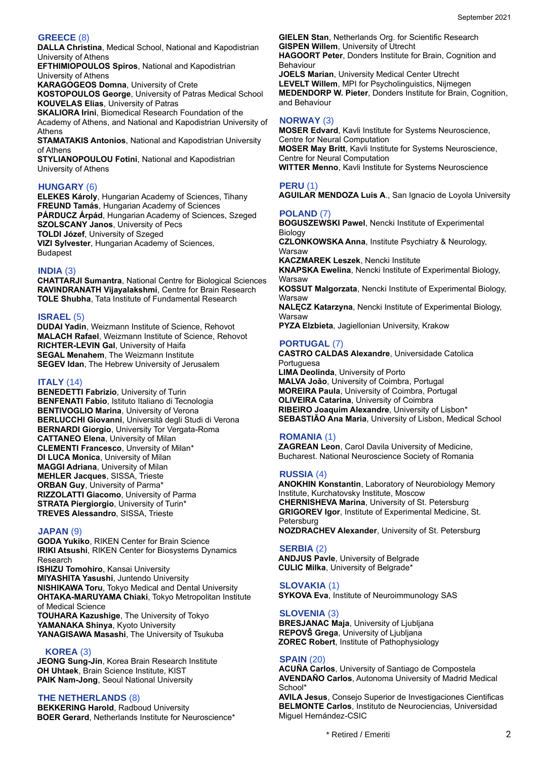# **GREECE** (8)

**DALLA Christina**, Medical School, National and Kapodistrian University of Athens

**EFTHIMIOPOULOS Spiros**, National and Kapodistrian University of Athens

**KARAGOGEOS Domna**, University of Crete

**KOSTOPOULOS George**, University of Patras Medical School **KOUVELAS Elias**, University of Patras

**SKALIORA Irini**, Biomedical Research Foundation of the Academy of Athens, and National and Kapodistrian University of Athens

**STAMATAKIS Antonios**, National and Kapodistrian University of Athens

**STYLIANOPOULOU Fotini**, National and Kapodistrian University of Athens

## **HUNGARY** (6)

**ELEKES Károly**, Hungarian Academy of Sciences, Tihany **FREUND Tamás**, Hungarian Academy of Sciences **PÁRDUCZ Árpád**, Hungarian Academy of Sciences, Szeged **SZOLSCANY Janos**, University of Pecs **TOLDI Józef**, University of Szeged **VIZI Sylvester**, Hungarian Academy of Sciences, Budapest

#### **INDIA** (3)

**CHATTARJI Sumantra**, National Centre for Biological Sciences **RAVINDRANATH Vijayalakshmi**, Centre for Brain Research **TOLE Shubha**, Tata Institute of Fundamental Research

#### **ISRAEL** (5)

**DUDAI Yadin**, Weizmann Institute of Science, Rehovot **MALACH Rafael**, Weizmann Institute of Science, Rehovot **RICHTER-LEVIN Gal**, University of Haifa **SEGAL Menahem**, The Weizmann Institute **SEGEV Idan**, The Hebrew University of Jerusalem

#### **ITALY** (14)

**BENEDETTI Fabrizio.** University of Turin **BENFENATI Fabio**, Istituto Italiano di Tecnologia **BENTIVOGLIO Marina**, University of Verona **BERLUCCHI Giovanni**, Università degli Studi di Verona **BERNARDI Giorgio**, University Tor Vergata-Roma **CATTANEO Elena**, University of Milan **CLEMENTI Francesco**, Unversity of Milan\* **DI LUCA Monica**, University of Milan **MAGGI Adriana**, University of Milan **MEHLER Jacques**, SISSA, Trieste **ORBAN Guy**, University of Parma\* **RIZZOLATTI Giacomo**, University of Parma **STRATA Piergiorgio**, University of Turin\* **TREVES Alessandro**, SISSA, Trieste

#### **JAPAN** (9)

**GODA Yukiko**, RIKEN Center for Brain Science **IRIKI Atsushi**, RIKEN Center for Biosystems Dynamics Research

**ISHIZU Tomohiro**, Kansai University **MIYASHITA Yasushi**, Juntendo University **NISHIKAWA Toru**, Tokyo Medical and Dental University **OHTAKA-MARUYAMA Chiaki**, Tokyo Metropolitan Institute of Medical Science **TOUHARA Kazushige**, The University of Tokyo **YAMANAKA Shinya**, Kyoto University **YANAGISAWA Masashi**, The University of Tsukuba

#### **KOREA** (3)

**JEONG Sung-Jin**, Korea Brain Research Institute **OH Uhtaek**, Brain Science Institute, KIST **PAIK Nam-Jong**, Seoul National University

#### **THE NETHERLANDS** (8)

**BEKKERING Harold**, Radboud University **BOER Gerard**, Netherlands Institute for Neuroscience\*

**GIELEN Stan**, Netherlands Org. for Scientific Research **GISPEN Willem**, University of Utrecht **HAGOORT Peter**, Donders Institute for Brain, Cognition and Behaviour

**JOELS Marian**, University Medical Center Utrecht **LEVELT Willem**, MPI for Psycholinguistics, Nijmegen **MEDENDORP W. Pieter**, Donders Institute for Brain, Cognition, and Behaviour

# **NORWAY** (3)

**MOSER Edvard**, Kavli Institute for Systems Neuroscience, Centre for Neural Computation **MOSER May Britt**, Kavli Institute for Systems Neuroscience, Centre for Neural Computation **WITTER Menno**, Kavli Institute for Systems Neuroscience

#### **PERU** (1)

**AGUILAR MENDOZA Luis A**., San Ignacio de Loyola University

#### **POLAND** (7)

**BOGUSZEWSKI Pawel**, Nencki Institute of Experimental Biology **CZLONKOWSKA Anna**, Institute Psychiatry & Neurology, Warsaw **KACZMAREK Leszek**, Nencki Institute **KNAPSKA Ewelina**, Nencki Institute of Experimental Biology, **Warsaw KOSSUT Malgorzata**, Nencki Institute of Experimental Biology, **Warsaw NALĘCZ Katarzyna**, Nencki Institute of Experimental Biology, **Warsaw PYZA Elzbieta**, Jagiellonian University, Krakow

# **PORTUGAL** (7)

**CASTRO CALDAS Alexandre**, Universidade Catolica **Portuguesa LIMA Deolinda**, University of Porto **MALVA Joāo**, University of Coimbra, Portugal **MOREIRA Paula**, University of Coimbra, Portugal **OLIVEIRA Catarina**, University of Coimbra **RIBEIRO Joaquim Alexandre**, University of Lisbon\* **SEBASTIÃO Ana Maria**, University of Lisbon, Medical School

#### **ROMANIA** (1)

**ZAGREAN Leon**, Carol Davila University of Medicine, Bucharest. National Neuroscience Society of Romania

#### **RUSSIA** (4)

**ANOKHIN Konstantin**, Laboratory of Neurobiology Memory Institute, Kurchatovsky Institute, Moscow **CHERNISHEVA Marina**, University of St. Petersburg **GRIGOREV Igor**, Institute of Experimental Medicine, St. Petersburg

**NOZDRACHEV Alexander**, University of St. Petersburg

#### **SERBIA** (2)

**ANDJUS Pavle**, University of Belgrade **CULIC Milka**, University of Belgrade\*

#### **SLOVAKIA** (1)

**SYKOVA Eva**, Institute of Neuroimmunology SAS

#### **SLOVENIA** (3)

**BRESJANAC Maja**, University of Ljubljana **REPOVŠ Grega**, University of Ljubljana **ZOREC Robert**, Institute of Pathophysiology

#### **SPAIN** (20)

Miguel Hernández-CSIC

**ACUÑA Carlos**, University of Santiago de Compostela **AVENDAÑO Carlos**, Autonoma University of Madrid Medical School\* **AVILA Jesus**, Consejo Superior de Investigaciones Cientificas **BELMONTE Carlos**, Instituto de Neurociencias, Universidad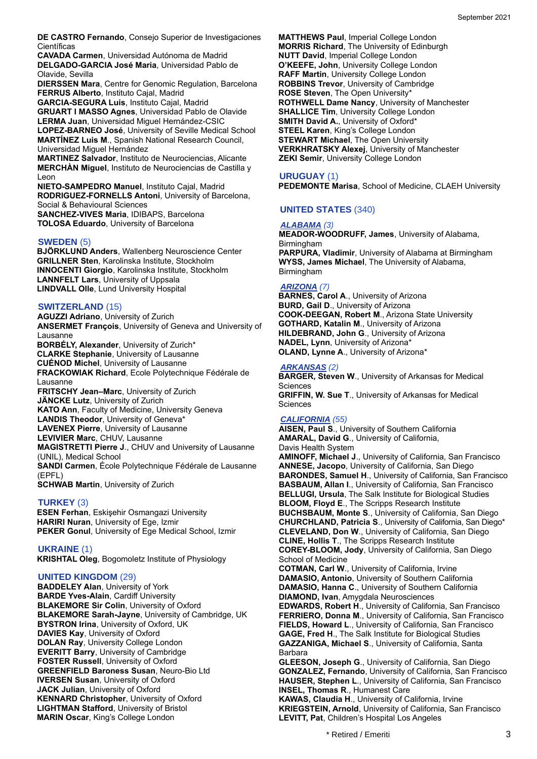**DE CASTRO Fernando**, Consejo Superior de Investigaciones Científicas

**CAVADA Carmen**, Universidad Autónoma de Madrid **DELGADO-GARCIA José Maria**, Universidad Pablo de Olavide, Sevilla

**DIERSSEN Mara**, Centre for Genomic Regulation, Barcelona **FERRUS Alberto**, Instituto Cajal, Madrid

**GARCIA-SEGURA Luis**, Instituto Cajal, Madrid **GRUART I MASSO Agnes**, Universidad Pablo de Olavide **LERMA Juan**, Universidad Miguel Hernández-CSIC **LOPEZ-BARNEO José**, University of Seville Medical School

**MARTÍNEZ Luis M**., Spanish National Research Council, Universidad Miguel Hernández

**MARTINEZ Salvador**, Instituto de Neurociencias, Alicante **MERCHÀN Miguel**, Instituto de Neurociencias de Castilla y Leon

**NIETO-SAMPEDRO Manuel**, Instituto Cajal, Madrid **RODRIGUEZ-FORNELLS Antoni**, University of Barcelona, Social & Behavioural Sciences

**SANCHEZ-VIVES Maria**, IDIBAPS, Barcelona **TOLOSA Eduardo**, University of Barcelona

#### **SWEDEN** (5)

**BJÖRKLUND Anders**, Wallenberg Neuroscience Center **GRILLNER Sten**, Karolinska Institute, Stockholm **INNOCENTI Giorgio**, Karolinska Institute, Stockholm **LANNFELT Lars**, University of Uppsala **LINDVALL Olle**, Lund University Hospital

# **SWITZERLAND** (15)

**AGUZZI Adriano**, University of Zurich **ANSERMET François**, University of Geneva and University of Lausanne **BORBÉLY, Alexander**, University of Zurich\* **CLARKE Stephanie**, University of Lausanne **CUÉNOD Michel**, University of Lausanne **FRACKOWIAK Richard**, Ecole Polytechnique Fédérale de Lausanne **FRITSCHY Jean–Marc**, University of Zurich **JÄNCKE Lutz**, University of Zurich **KATO Ann**, Faculty of Medicine, University Geneva **LANDIS Theodor**, University of Geneva\* **LAVENEX Pierre**, University of Lausanne **LEVIVIER Marc**, CHUV, Lausanne **MAGISTRETTI Pierre J**., CHUV and University of Lausanne (UNIL), Medical School **SANDI Carmen**, École Polytechnique Fédérale de Lausanne (EPFL) **SCHWAB Martin**, University of Zurich

# **TURKEY** (3)

**ESEN Ferhan**, Eskişehir Osmangazi University **HARIRI Nuran**, University of Ege, Izmir **PEKER Gonul**, University of Ege Medical School, Izmir

**UKRAINE** (1) **KRISHTAL Oleg**, Bogomoletz Institute of Physiology

# **UNITED KINGDOM** (29)

**BADDELEY Alan**, University of York **BARDE Yves-Alain**, Cardiff University **BLAKEMORE Sir Colin**, University of Oxford **BLAKEMORE Sarah-Jayne**, University of Cambridge, UK **BYSTRON Irina**, University of Oxford, UK **DAVIES Kay**, University of Oxford **DOLAN Ray**, University College London **EVERITT Barry**, University of Cambridge **FOSTER Russell**, University of Oxford **GREENFIELD Baroness Susan**, Neuro-Bio Ltd **IVERSEN Susan**, University of Oxford **JACK Julian**, University of Oxford **KENNARD Christopher**, University of Oxford **LIGHTMAN Stafford**, University of Bristol **MARIN Oscar**, King's College London

**MATTHEWS Paul**, Imperial College London **MORRIS Richard**, The University of Edinburgh **NUTT David**, Imperial College London **O'KEEFE, John**, University College London **RAFF Martin**, University College London **ROBBINS Trevor**, University of Cambridge **ROSE Steven**, The Open University\* **ROTHWELL Dame Nancy**, University of Manchester **SHALLICE Tim**, University College London **SMITH David A.**, University of Oxford\* **STEEL Karen**, King's College London **STEWART Michael**, The Open University **VERKHRATSKY Alexej**, University of Manchester **ZEKI Semir**, University College London

# **URUGUAY** (1)

**PEDEMONTE Marisa**, School of Medicine, CLAEH University

# **UNITED STATES** (340)

#### *ALABAMA (3)*

**MEADOR-WOODRUFF, James**, University of Alabama, Birmingham **PARPURA, Vladimir**, University of Alabama at Birmingham **WYSS, James Michael**, The University of Alabama, Birmingham

# *ARIZONA (7)*

**BARNES, Carol A**., University of Arizona **BURD, Gail D**., University of Arizona **COOK-DEEGAN, Robert M**., Arizona State University **GOTHARD, Katalin M**., University of Arizona **HILDEBRAND, John G**., University of Arizona **NADEL, Lynn**, University of Arizona\* **OLAND, Lynne A**., University of Arizona\*

#### *ARKANSAS (2)*

**BARGER, Steven W**., University of Arkansas for Medical Sciences **GRIFFIN, W. Sue T**., University of Arkansas for Medical Sciences

# *CALIFORNIA (55)*

**AISEN, Paul S**., University of Southern California **AMARAL, David G**., University of California, Davis Health System **AMINOFF, Michael J**., University of California, San Francisco **ANNESE, Jacopo**, University of California, San Diego **BARONDES, Samuel H**., University of California, San Francisco **BASBAUM, Allan I**., University of California, San Francisco **BELLUGI, Ursula**, The Salk Institute for Biological Studies **BLOOM, Floyd E**., The Scripps Research Institute **BUCHSBAUM, Monte S**., University of California, San Diego **CHURCHLAND, Patricia S**., University of California, San Diego\* **CLEVELAND, Don W**., University of California, San Diego **CLINE, Hollis T**., The Scripps Research Institute **COREY-BLOOM, Jody**, University of California, San Diego School of Medicine **COTMAN, Carl W**., University of California, Irvine **DAMASIO, Antonio**, University of Southern California **DAMASIO, Hanna C**., University of Southern California **DIAMOND, Ivan**, Amygdala Neurosciences **EDWARDS, Robert H**., University of California, San Francisco **FERRIERO, Donna M**., University of California, San Francisco **FIELDS, Howard L**., University of California, San Francisco **GAGE, Fred H**., The Salk Institute for Biological Studies **GAZZANIGA, Michael S**., University of California, Santa Barbara **GLEESON, Joseph G**., University of California, San Diego **GONZALEZ, Fernando**, University of California, San Francisco **HAUSER, Stephen L**., University of California, San Francisco **INSEL, Thomas R**., Humanest Care **KAWAS, Claudia H**., University of California, Irvine **KRIEGSTEIN, Arnold**, University of California, San Francisco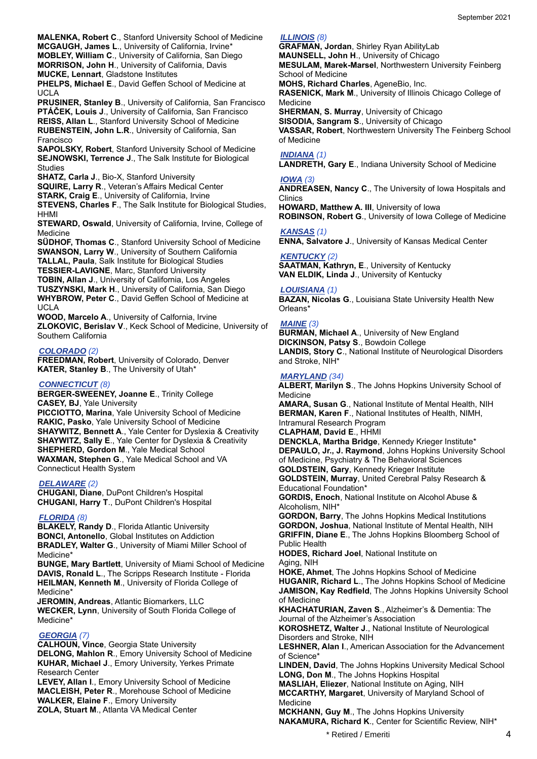**MALENKA, Robert C**., Stanford University School of Medicine **MCGAUGH, James L**., University of California, Irvine\*

**MOBLEY, William C**., University of California, San Diego **MORRISON, John H**., University of California, Davis **MUCKE, Lennart**, Gladstone Institutes

**PHELPS, Michael E**., David Geffen School of Medicine at UCLA

**PRUSINER, Stanley B**., University of California, San Francisco **PTÁČEK, Louis J**., University of California, San Francisco **REISS, Allan L**., Stanford University School of Medicine **RUBENSTEIN, John L.R**., University of California, San **Francisco** 

**SAPOLSKY, Robert**, Stanford University School of Medicine **SEJNOWSKI, Terrence J**., The Salk Institute for Biological Studies

**SHATZ, Carla J**., Bio-X, Stanford University

**SQUIRE, Larry R**., Veteran's Affairs Medical Center

**STARK, Craig E**., University of California, Irvine

**STEVENS, Charles F**., The Salk Institute for Biological Studies, HHMI

**STEWARD, Oswald**, University of California, Irvine, College of Medicine

**SÜDHOF, Thomas C**., Stanford University School of Medicine **SWANSON, Larry W**., University of Southern California **TALLAL, Paula**, Salk Institute for Biological Studies **TESSIER-LAVIGNE**, Marc, Stanford University **TOBIN, Allan J**., University of California, Los Angeles **TUSZYNSKI, Mark H**., University of California, San Diego

**WHYBROW, Peter C**., David Geffen School of Medicine at UCLA

**WOOD, Marcelo A**., University of Calfornia, Irvine **ZLOKOVIC, Berislav V**., Keck School of Medicine, University of Southern California

# *COLORADO (2)*

**FREEDMAN, Robert**, University of Colorado, Denver **KATER, Stanley B**., The University of Utah\*

# *CONNECTICUT (8)*

**BERGER-SWEENEY, Joanne E**., Trinity College **CASEY, BJ**, Yale University **PICCIOTTO, Marina**, Yale University School of Medicine **RAKIC, Pasko**, Yale University School of Medicine **SHAYWITZ, Bennett A**., Yale Center for Dyslexia & Creativity **SHAYWITZ, Sally E**., Yale Center for Dyslexia & Creativity **SHEPHERD, Gordon M**., Yale Medical School **WAXMAN, Stephen G**., Yale Medical School and VA Connecticut Health System

#### *DELAWARE (2)*

**CHUGANI, Diane**, DuPont Children's Hospital **CHUGANI, Harry T**., DuPont Children's Hospital

#### *FLORIDA (8)*

**BLAKELY, Randy D**., Florida Atlantic University **BONCI, Antonello**, Global Institutes on Addiction **BRADLEY, Walter G**., University of Miami Miller School of Medicine\* **BUNGE, Mary Bartlett**, University of Miami School of Medicine

**DAVIS, Ronald L**., The Scripps Research Institute - Florida **HEILMAN, Kenneth M**., University of Florida College of Medicine\*

**JEROMIN, Andreas**, Atlantic Biomarkers, LLC **WECKER, Lynn**, University of South Florida College of Medicine\*

#### *GEORGIA (7)*

**CALHOUN, Vince**, Georgia State University **DELONG, Mahlon R**., Emory University School of Medicine **KUHAR, Michael J**., Emory University, Yerkes Primate Research Center

**LEVEY, Allan I**., Emory University School of Medicine **MACLEISH, Peter R**., Morehouse School of Medicine **WALKER, Elaine F**., Emory University **ZOLA, Stuart M**., Atlanta VA Medical Center

# *ILLINOIS (8)*

**GRAFMAN, Jordan**, Shirley Ryan AbilityLab **MAUNSELL, John H**., University of Chicago **MESULAM, Marek-Marsel**, Northwestern University Feinberg School of Medicine **MOHS, Richard Charles**, AgeneBio, Inc. **RASENICK, Mark M**., University of Illinois Chicago College of

Medicine

**SHERMAN, S. Murray**, University of Chicago **SISODIA, Sangram S**., University of Chicago **VASSAR, Robert**, Northwestern University The Feinberg School of Medicine

#### *INDIANA (1)*

**LANDRETH, Gary E**., Indiana University School of Medicine

# *IOWA (3)*

**ANDREASEN, Nancy C**., The University of Iowa Hospitals and Clinics

**HOWARD, Matthew A. III**, University of Iowa **ROBINSON, Robert G**., University of Iowa College of Medicine

#### *KANSAS (1)*

**ENNA, Salvatore J**., University of Kansas Medical Center

# *KENTUCKY (2)*

**SAATMAN, Kathryn, E**., University of Kentucky **VAN ELDIK, Linda J**., University of Kentucky

# *LOUISIANA (1)*

**BAZAN, Nicolas G**., Louisiana State University Health New Orleans\*

# *MAINE (3)*

**BURMAN, Michael A**., University of New England **DICKINSON, Patsy S**., Bowdoin College **LANDIS, Story C**., National Institute of Neurological Disorders and Stroke, NIH\*

# *MARYLAND (34)*

**ALBERT, Marilyn S**., The Johns Hopkins University School of Medicine **AMARA, Susan G**., National Institute of Mental Health, NIH **BERMAN, Karen F**., National Institutes of Health, NIMH, Intramural Research Program **CLAPHAM, David E**., HHMI **DENCKLA, Martha Bridge**, Kennedy Krieger Institute\* **DEPAULO, Jr., J. Raymond**, Johns Hopkins University School of Medicine, Psychiatry & The Behavioral Sciences **GOLDSTEIN, Gary**, Kennedy Krieger Institute **GOLDSTEIN, Murray**, United Cerebral Palsy Research & Educational Foundation\* **GORDIS, Enoch**, National Institute on Alcohol Abuse & Alcoholism, NIH\* **GORDON, Barry**, The Johns Hopkins Medical Institutions **GORDON, Joshua**, National Institute of Mental Health, NIH **GRIFFIN, Diane E**., The Johns Hopkins Bloomberg School of Public Health **HODES, Richard Joel**, National Institute on Aging, NIH **HOKE, Ahmet**, The Johns Hopkins School of Medicine **HUGANIR, Richard L**., The Johns Hopkins School of Medicine **JAMISON, Kay Redfield**, The Johns Hopkins University School of Medicine **KHACHATURIAN, Zaven S**., Alzheimer's & Dementia: The Journal of the Alzheimer's Association **KOROSHETZ, Walter J**., National Institute of Neurological Disorders and Stroke, NIH **LESHNER, Alan I**., American Association for the Advancement of Science<sup>\*</sup> **LINDEN, David**, The Johns Hopkins University Medical School **LONG, Don M**., The Johns Hopkins Hospital **MASLIAH, Eliezer**, National Institute on Aging, NIH **MCCARTHY, Margaret**, University of Maryland School of Medicine

**MCKHANN, Guy M**., The Johns Hopkins University **NAKAMURA, Richard K**., Center for Scientific Review, NIH\*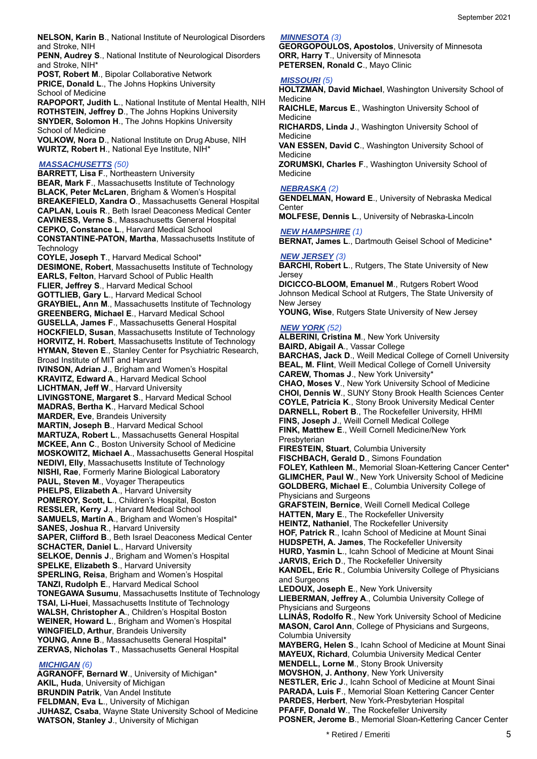**NELSON, Karin B**., National Institute of Neurological Disorders and Stroke, NIH

**PENN, Audrey S**., National Institute of Neurological Disorders and Stroke, NIH\*

**POST, Robert M**., Bipolar Collaborative Network **PRICE, Donald L**., The Johns Hopkins University School of Medicine

**RAPOPORT, Judith L**., National Institute of Mental Health, NIH **ROTHSTEIN, Jeffrey D**., The Johns Hopkins University **SNYDER, Solomon H**., The Johns Hopkins University School of Medicine

**VOLKOW, Nora D**., National Institute on Drug Abuse, NIH **WURTZ, Robert H**., National Eye Institute, NIH\*

# *MASSACHUSETTS (50)*

**BARRETT, Lisa F**., Northeastern University **BEAR, Mark F**., Massachusetts Institute of Technology **BLACK, Peter McLaren**, Brigham & Women's Hospital **BREAKEFIELD, Xandra O**., Massachusetts General Hospital **CAPLAN, Louis R**., Beth Israel Deaconess Medical Center **CAVINESS, Verne S**., Massachusetts General Hospital **CEPKO, Constance L**., Harvard Medical School **CONSTANTINE-PATON, Martha**, Massachusetts Institute of **Technology COYLE, Joseph T**., Harvard Medical School\* **DESIMONE, Robert**, Massachusetts Institute of Technology **EARLS, Felton**, Harvard School of Public Health **FLIER, Jeffrey S**., Harvard Medical School **GOTTLIEB, Gary L**., Harvard Medical School **GRAYBIEL, Ann M**., Massachusetts Institute of Technology **GREENBERG, Michael E**., Harvard Medical School **GUSELLA, James F**., Massachusetts General Hospital **HOCKFIELD, Susan**, Massachusetts Institute of Technology **HORVITZ, H. Robert**, Massachusetts Institute of Technology **HYMAN, Steven E**., Stanley Center for Psychiatric Research, Broad Institute of MIT and Harvard **IVINSON, Adrian J**., Brigham and Women's Hospital **KRAVITZ, Edward A**., Harvard Medical School **LICHTMAN, Jeff W**., Harvard University **LIVINGSTONE, Margaret S**., Harvard Medical School **MADRAS, Bertha K**., Harvard Medical School **MARDER, Eve**, Brandeis University **MARTIN, Joseph B**., Harvard Medical School **MARTUZA, Robert L**., Massachusetts General Hospital **MCKEE, Ann C**., Boston University School of Medicine **MOSKOWITZ, Michael A**., Massachusetts General Hospital **NEDIVI, Elly**, Massachusetts Institute of Technology **NISHI, Rae**, Formerly Marine Biological Laboratory **PAUL, Steven M**., Voyager Therapeutics **PHELPS, Elizabeth A**., Harvard University **POMEROY, Scott, L**., Children's Hospital, Boston **RESSLER, Kerry J**., Harvard Medical School **SAMUELS, Martin A**., Brigham and Women's Hospital\* **SANES, Joshua R**., Harvard University **SAPER, Clifford B**., Beth Israel Deaconess Medical Center **SCHACTER, Daniel L**., Harvard University **SELKOE, Dennis J**., Brigham and Women's Hospital **SPELKE, Elizabeth S**., Harvard University **SPERLING, Reisa**, Brigham and Women's Hospital **TANZI, Rudolph E**., Harvard Medical School **TONEGAWA Susumu**, Massachusetts Institute of Technology **TSAI, Li-Huei**, Massachusetts Institute of Technology **WALSH, Christopher A**., Children's Hospital Boston **WEINER, Howard L**., Brigham and Women's Hospital **WINGFIELD, Arthur**, Brandeis University **YOUNG, Anne B**., Massachusetts General Hospital\* **ZERVAS, Nicholas T**., Massachusetts General Hospital

#### *MICHIGAN (6)*

**AGRANOFF, Bernard W**., University of Michigan\* **AKIL, Huda**, University of Michigan **BRUNDIN Patrik**, Van Andel Institute **FELDMAN, Eva L**., University of Michigan **JUHASZ, Csaba**, Wayne State University School of Medicine **WATSON, Stanley J**., University of Michigan

# *MINNESOTA (3)*

**GEORGOPOULOS, Apostolos**, University of Minnesota **ORR, Harry T**., University of Minnesota **PETERSEN, Ronald C**., Mayo Clinic

#### *MISSOURI (5)*

**HOLTZMAN, David Michael**, Washington University School of Medicine

**RAICHLE, Marcus E**., Washington University School of Medicine

**RICHARDS, Linda J**., Washington University School of Medicine

**VAN ESSEN, David C**., Washington University School of Medicine

**ZORUMSKI, Charles F**., Washington University School of Medicine

#### *NEBRASKA (2)*

**GENDELMAN, Howard E**., University of Nebraska Medical **Center** 

**MOLFESE, Dennis L**., University of Nebraska-Lincoln

*NEW HAMPSHIRE (1)*

**BERNAT, James L**., Dartmouth Geisel School of Medicine\*

# *NEW JERSEY (3)*

**BARCHI, Robert L**., Rutgers, The State University of New Jersey

**DICICCO-BLOOM, Emanuel M**., Rutgers Robert Wood Johnson Medical School at Rutgers, The State University of New Jersey

**YOUNG, Wise**, Rutgers State University of New Jersey

#### *NEW YORK (52)*

**ALBERINI, Cristina M**., New York University **BAIRD, Abigail A**., Vassar College **BARCHAS, Jack D**., Weill Medical College of Cornell University **BEAL, M. Flint**, Weill Medical College of Cornell University **CAREW, Thomas J**., New York University\* **CHAO, Moses V**., New York University School of Medicine **CHOI, Dennis W**., SUNY Stony Brook Health Sciences Center **COYLE, Patricia K**., Stony Brook University Medical Center **DARNELL, Robert B**., The Rockefeller University, HHMI **FINS, Joseph J**., Weill Cornell Medical College **FINK, Matthew E**., Weill Cornell Medicine/New York Presbyterian **FIRESTEIN, Stuart**, Columbia University **FISCHBACH, Gerald D**., Simons Foundation **FOLEY, Kathleen M.**, Memorial Sloan-Kettering Cancer Center\* **GLIMCHER, Paul W**., New York University School of Medicine **GOLDBERG, Michael E**., Columbia University College of Physicians and Surgeons **GRAFSTEIN, Bernice**, Weill Cornell Medical College **HATTEN, Mary E**., The Rockefeller University **HEINTZ, Nathaniel**, The Rockefeller University **HOF, Patrick R**., Icahn School of Medicine at Mount Sinai **HUDSPETH, A. James**, The Rockefeller University **HURD, Yasmin L**., Icahn School of Medicine at Mount Sinai **JARVIS, Erich D**., The Rockefeller University **KANDEL, Eric R**., Columbia University College of Physicians and Surgeons **LEDOUX, Joseph E**., New York University **LIEBERMAN, Jeffrey A**., Columbia University College of Physicians and Surgeons **LLINÁS, Rodolfo R**., New York University School of Medicine **MASON, Carol Ann**, College of Physicians and Surgeons, Columbia University **MAYBERG, Helen S**., Icahn School of Medicine at Mount Sinai **MAYEUX, Richard**, Columbia University Medical Center **MENDELL, Lorne M**., Stony Brook University **MOVSHON, J. Anthony**, New York University **NESTLER, Eric J**., Icahn School of Medicine at Mount Sinai **PARADA, Luis F**., Memorial Sloan Kettering Cancer Center **PARDES, Herbert**, New York-Presbyterian Hospital **PFAFF, Donald W**., The Rockefeller University **POSNER, Jerome B**., Memorial Sloan-Kettering Cancer Center